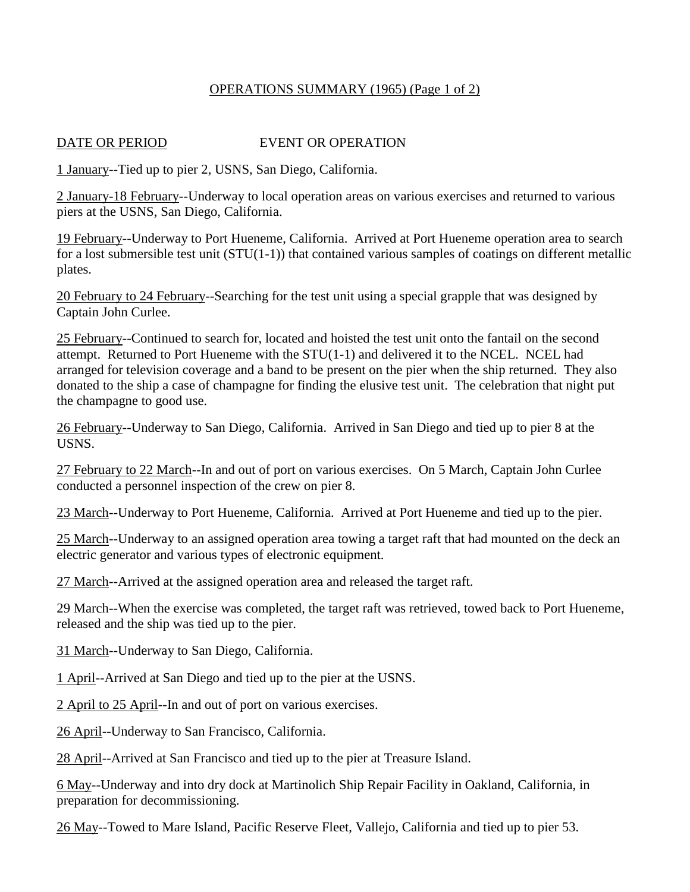## OPERATIONS SUMMARY (1965) (Page 1 of 2)

## DATE OR PERIOD EVENT OR OPERATION

1 January--Tied up to pier 2, USNS, San Diego, California.

2 January-18 February--Underway to local operation areas on various exercises and returned to various piers at the USNS, San Diego, California.

19 February--Underway to Port Hueneme, California. Arrived at Port Hueneme operation area to search for a lost submersible test unit (STU(1-1)) that contained various samples of coatings on different metallic plates.

20 February to 24 February--Searching for the test unit using a special grapple that was designed by Captain John Curlee.

25 February--Continued to search for, located and hoisted the test unit onto the fantail on the second attempt. Returned to Port Hueneme with the STU(1-1) and delivered it to the NCEL. NCEL had arranged for television coverage and a band to be present on the pier when the ship returned. They also donated to the ship a case of champagne for finding the elusive test unit. The celebration that night put the champagne to good use.

26 February--Underway to San Diego, California. Arrived in San Diego and tied up to pier 8 at the USNS.

27 February to 22 March--In and out of port on various exercises. On 5 March, Captain John Curlee conducted a personnel inspection of the crew on pier 8.

23 March--Underway to Port Hueneme, California. Arrived at Port Hueneme and tied up to the pier.

25 March--Underway to an assigned operation area towing a target raft that had mounted on the deck an electric generator and various types of electronic equipment.

27 March--Arrived at the assigned operation area and released the target raft.

29 March--When the exercise was completed, the target raft was retrieved, towed back to Port Hueneme, released and the ship was tied up to the pier.

31 March--Underway to San Diego, California.

1 April--Arrived at San Diego and tied up to the pier at the USNS.

2 April to 25 April--In and out of port on various exercises.

26 April--Underway to San Francisco, California.

28 April--Arrived at San Francisco and tied up to the pier at Treasure Island.

6 May--Underway and into dry dock at Martinolich Ship Repair Facility in Oakland, California, in preparation for decommissioning.

26 May--Towed to Mare Island, Pacific Reserve Fleet, Vallejo, California and tied up to pier 53.